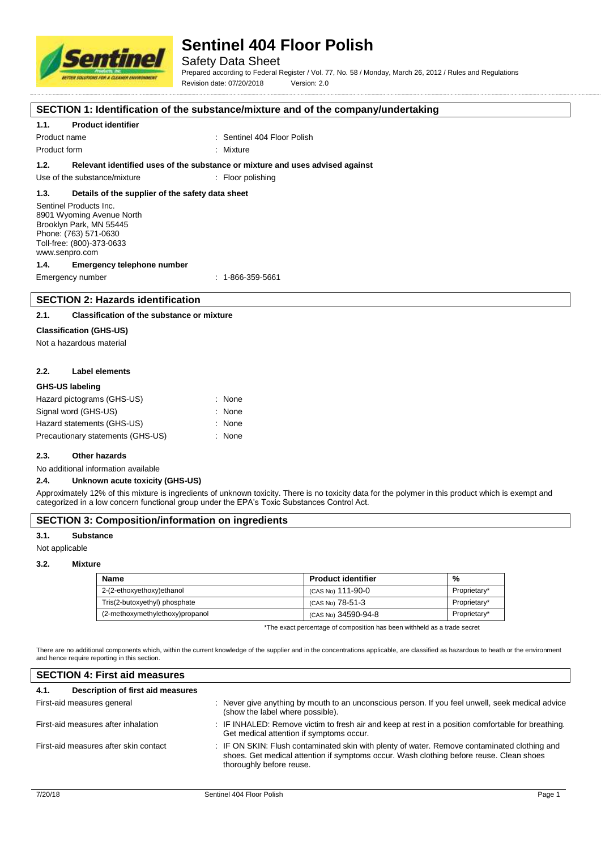

## Safety Data Sheet

Prepared according to Federal Register / Vol. 77, No. 58 / Monday, March 26, 2012 / Rules and Regulations Revision date: 07/20/2018 Version: 2.0

#### **SECTION 1: Identification of the substance/mixture and of the company/undertaking**

## **1.1. Product identifier**

Product name : Sentinel 404 Floor Polish

Product form : Nixture : Mixture

#### **1.2. Relevant identified uses of the substance or mixture and uses advised against**

Use of the substance/mixture : Floor polishing

#### **1.3. Details of the supplier of the safety data sheet**

Sentinel Products Inc. 8901 Wyoming Avenue North Brooklyn Park, MN 55445 Phone: (763) 571-0630 Toll-free: (800)-373-0633 www.senpro.com

#### **1.4. Emergency telephone number**

Emergency number : 1-866-359-5661

## **SECTION 2: Hazards identification**

## **2.1. Classification of the substance or mixture**

### **Classification (GHS-US)**

Not a hazardous material

#### **2.2. Label elements**

#### **GHS-US labeling**

| Hazard pictograms (GHS-US)        | : None |
|-----------------------------------|--------|
| Signal word (GHS-US)              | : None |
| Hazard statements (GHS-US)        | : None |
| Precautionary statements (GHS-US) | : None |

#### **2.3. Other hazards**

No additional information available

#### **2.4. Unknown acute toxicity (GHS-US)**

Approximately 12% of this mixture is ingredients of unknown toxicity. There is no toxicity data for the polymer in this product which is exempt and categorized in a low concern functional group under the EPA's Toxic Substances Control Act.

## **SECTION 3: Composition/information on ingredients**

#### **3.1. Substance**

Not applicable

#### **3.2. Mixture**

| <b>Name</b>                     | <b>Product identifier</b> | %            |
|---------------------------------|---------------------------|--------------|
| 2-(2-ethoxyethoxy)ethanol       | (CAS No) 111-90-0         | Proprietary* |
| Tris(2-butoxyethyl) phosphate   | (CAS No) 78-51-3          | Proprietary* |
| (2-methoxymethylethoxy)propanol | (CAS No) 34590-94-8       | Proprietary* |

\*The exact percentage of composition has been withheld as a trade secret

There are no additional components which, within the current knowledge of the supplier and in the concentrations applicable, are classified as hazardous to heath or the environment and hence require reporting in this section.

| <b>SECTION 4: First aid measures</b>                                                                                                                                                                                |  |  |  |  |
|---------------------------------------------------------------------------------------------------------------------------------------------------------------------------------------------------------------------|--|--|--|--|
|                                                                                                                                                                                                                     |  |  |  |  |
| : Never give anything by mouth to an unconscious person. If you feel unwell, seek medical advice<br>(show the label where possible).                                                                                |  |  |  |  |
| : IF INHALED: Remove victim to fresh air and keep at rest in a position comfortable for breathing.<br>Get medical attention if symptoms occur.                                                                      |  |  |  |  |
| : IF ON SKIN: Flush contaminated skin with plenty of water. Remove contaminated clothing and<br>shoes. Get medical attention if symptoms occur. Wash clothing before reuse. Clean shoes<br>thoroughly before reuse. |  |  |  |  |
|                                                                                                                                                                                                                     |  |  |  |  |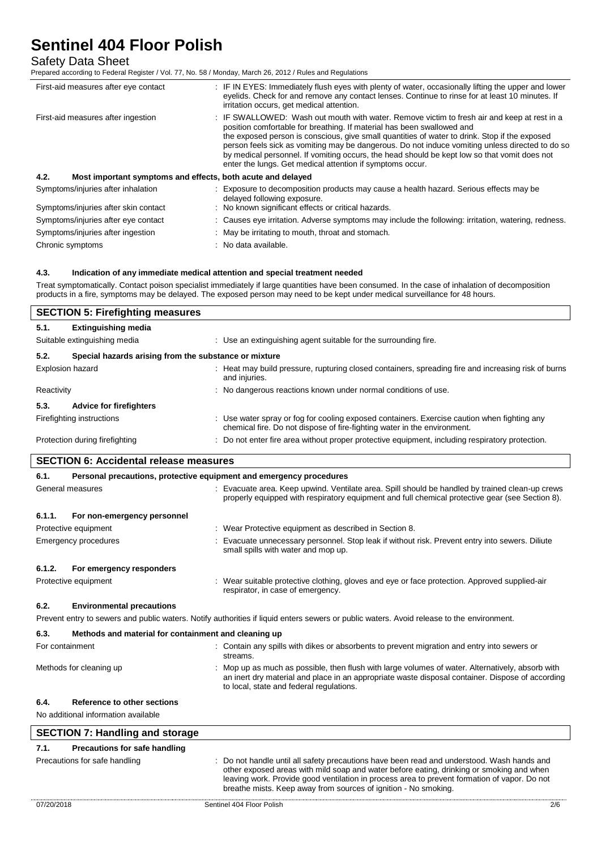## Safety Data Sheet

Prepared according to Federal Register / Vol. 77, No. 58 / Monday, March 26, 2012 / Rules and Regulations

| First-aid measures after eye contact                                | : IF IN EYES: Immediately flush eyes with plenty of water, occasionally lifting the upper and lower<br>eyelids. Check for and remove any contact lenses. Continue to rinse for at least 10 minutes. If<br>irritation occurs, get medical attention.                                                                                                                                                                                                                                                                                    |
|---------------------------------------------------------------------|----------------------------------------------------------------------------------------------------------------------------------------------------------------------------------------------------------------------------------------------------------------------------------------------------------------------------------------------------------------------------------------------------------------------------------------------------------------------------------------------------------------------------------------|
| First-aid measures after ingestion                                  | : IF SWALLOWED: Wash out mouth with water. Remove victim to fresh air and keep at rest in a<br>position comfortable for breathing. If material has been swallowed and<br>the exposed person is conscious, give small quantities of water to drink. Stop if the exposed<br>person feels sick as vomiting may be dangerous. Do not induce vomiting unless directed to do so<br>by medical personnel. If vomiting occurs, the head should be kept low so that vomit does not<br>enter the lungs. Get medical attention if symptoms occur. |
| 4.2.<br>Most important symptoms and effects, both acute and delayed |                                                                                                                                                                                                                                                                                                                                                                                                                                                                                                                                        |
| Symptoms/injuries after inhalation                                  | : Exposure to decomposition products may cause a health hazard. Serious effects may be<br>delayed following exposure.                                                                                                                                                                                                                                                                                                                                                                                                                  |
| Symptoms/injuries after skin contact                                | : No known significant effects or critical hazards.                                                                                                                                                                                                                                                                                                                                                                                                                                                                                    |
| Symptoms/injuries after eye contact                                 | : Causes eye irritation. Adverse symptoms may include the following: irritation, watering, redness.                                                                                                                                                                                                                                                                                                                                                                                                                                    |
| Symptoms/injuries after ingestion                                   | : May be irritating to mouth, throat and stomach.                                                                                                                                                                                                                                                                                                                                                                                                                                                                                      |

Chronic symptoms **in the contract of the Chronic symptoms** : No data available.

## **4.3. Indication of any immediate medical attention and special treatment needed**

Treat symptomatically. Contact poison specialist immediately if large quantities have been consumed. In the case of inhalation of decomposition products in a fire, symptoms may be delayed. The exposed person may need to be kept under medical surveillance for 48 hours.

|                         | <b>SECTION 5: Firefighting measures</b>               |                                                                                                                                                                         |
|-------------------------|-------------------------------------------------------|-------------------------------------------------------------------------------------------------------------------------------------------------------------------------|
| 5.1.                    | <b>Extinguishing media</b>                            |                                                                                                                                                                         |
|                         | Suitable extinguishing media                          | : Use an extinguishing agent suitable for the surrounding fire.                                                                                                         |
| 5.2.                    | Special hazards arising from the substance or mixture |                                                                                                                                                                         |
| <b>Explosion hazard</b> |                                                       | : Heat may build pressure, rupturing closed containers, spreading fire and increasing risk of burns<br>and injuries.                                                    |
| Reactivity              |                                                       | : No dangerous reactions known under normal conditions of use.                                                                                                          |
| 5.3.                    | <b>Advice for firefighters</b>                        |                                                                                                                                                                         |
|                         | Firefighting instructions                             | : Use water spray or fog for cooling exposed containers. Exercise caution when fighting any<br>chemical fire. Do not dispose of fire-fighting water in the environment. |
|                         | Protection during firefighting                        | : Do not enter fire area without proper protective equipment, including respiratory protection.                                                                         |

## **SECTION 6: Accidental release measures**

| 6.1.                 | Personal precautions, protective equipment and emergency procedures |  |                                                                                                                                                                                                                                                |  |  |
|----------------------|---------------------------------------------------------------------|--|------------------------------------------------------------------------------------------------------------------------------------------------------------------------------------------------------------------------------------------------|--|--|
|                      | General measures                                                    |  | Evacuate area. Keep upwind. Ventilate area. Spill should be handled by trained clean-up crews<br>properly equipped with respiratory equipment and full chemical protective gear (see Section 8).                                               |  |  |
| 6.1.1.               | For non-emergency personnel                                         |  |                                                                                                                                                                                                                                                |  |  |
|                      | Protective equipment                                                |  | : Wear Protective equipment as described in Section 8.                                                                                                                                                                                         |  |  |
|                      | Emergency procedures                                                |  | Evacuate unnecessary personnel. Stop leak if without risk. Prevent entry into sewers. Diliute<br>small spills with water and mop up.                                                                                                           |  |  |
| 6.1.2.               | For emergency responders                                            |  |                                                                                                                                                                                                                                                |  |  |
| Protective equipment |                                                                     |  | Wear suitable protective clothing, gloves and eye or face protection. Approved supplied-air<br>respirator, in case of emergency.                                                                                                               |  |  |
| 6.2.                 | <b>Environmental precautions</b>                                    |  |                                                                                                                                                                                                                                                |  |  |
|                      |                                                                     |  | Prevent entry to sewers and public waters. Notify authorities if liquid enters sewers or public waters. Avoid release to the environment.                                                                                                      |  |  |
| 6.3.                 | Methods and material for containment and cleaning up                |  |                                                                                                                                                                                                                                                |  |  |
| For containment      |                                                                     |  | : Contain any spills with dikes or absorbents to prevent migration and entry into sewers or<br>streams.                                                                                                                                        |  |  |
|                      | Methods for cleaning up                                             |  | Mop up as much as possible, then flush with large volumes of water. Alternatively, absorb with<br>an inert dry material and place in an appropriate waste disposal container. Dispose of according<br>to local, state and federal regulations. |  |  |
| 6.4.                 | Reference to other sections                                         |  |                                                                                                                                                                                                                                                |  |  |
|                      | No additional information available                                 |  |                                                                                                                                                                                                                                                |  |  |

| <b>SECTION 7: Handling and storage</b> |                                                                                                                                                                                                                                                                                                                                                           |  |  |  |
|----------------------------------------|-----------------------------------------------------------------------------------------------------------------------------------------------------------------------------------------------------------------------------------------------------------------------------------------------------------------------------------------------------------|--|--|--|
| Precautions for safe handling<br>7.1.  |                                                                                                                                                                                                                                                                                                                                                           |  |  |  |
| Precautions for safe handling          | : Do not handle until all safety precautions have been read and understood. Wash hands and<br>other exposed areas with mild soap and water before eating, drinking or smoking and when<br>leaving work. Provide good ventilation in process area to prevent formation of vapor. Do not<br>breathe mists. Keep away from sources of ignition - No smoking. |  |  |  |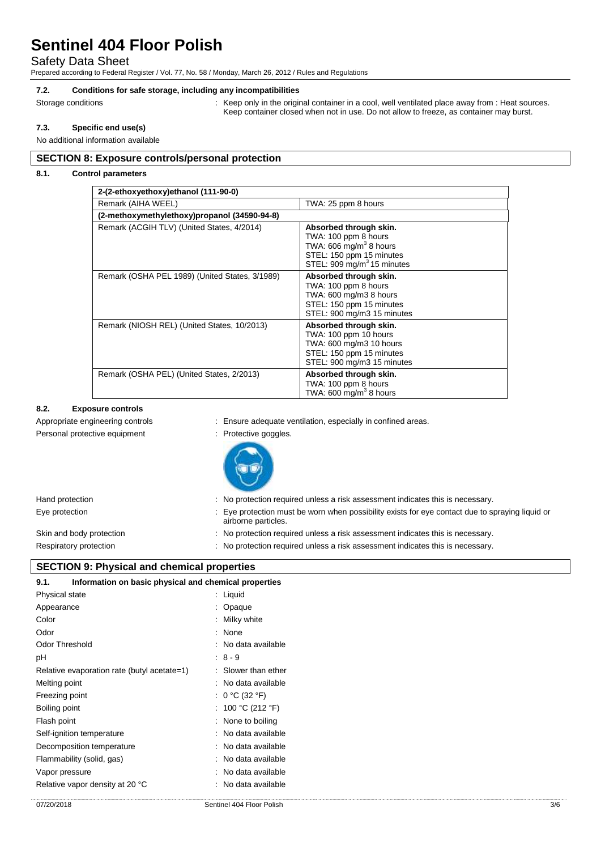## Safety Data Sheet

Prepared according to Federal Register / Vol. 77, No. 58 / Monday, March 26, 2012 / Rules and Regulations

#### **7.2. Conditions for safe storage, including any incompatibilities**

Storage conditions **in the original container in a cool, well ventilated place away from : Heat sources.** Keep container closed when not in use. Do not allow to freeze, as container may burst.

## **7.3. Specific end use(s)**

No additional information available

### **SECTION 8: Exposure controls/personal protection**

## **8.1. Control parameters**

| 2-(2-ethoxyethoxy)ethanol (111-90-0)           |                                                                                                                                                  |
|------------------------------------------------|--------------------------------------------------------------------------------------------------------------------------------------------------|
| Remark (AIHA WEEL)                             | TWA: 25 ppm 8 hours                                                                                                                              |
| (2-methoxymethylethoxy)propanol (34590-94-8)   |                                                                                                                                                  |
| Remark (ACGIH TLV) (United States, 4/2014)     | Absorbed through skin.<br>TWA: 100 ppm 8 hours<br>TWA: 606 $mg/m3$ 8 hours<br>STEL: 150 ppm 15 minutes<br>STEL: 909 mg/m <sup>3</sup> 15 minutes |
| Remark (OSHA PEL 1989) (United States, 3/1989) | Absorbed through skin.<br>TWA: 100 ppm 8 hours<br>TWA: 600 mg/m3 8 hours<br>STEL: 150 ppm 15 minutes<br>STEL: 900 mg/m3 15 minutes               |
| Remark (NIOSH REL) (United States, 10/2013)    | Absorbed through skin.<br>TWA: 100 ppm 10 hours<br>TWA: 600 mg/m3 10 hours<br>STEL: 150 ppm 15 minutes<br>STEL: 900 mg/m3 15 minutes             |
| Remark (OSHA PEL) (United States, 2/2013)      | Absorbed through skin.<br>TWA: 100 ppm 8 hours<br>TWA: 600 mg/m <sup>3</sup> 8 hours                                                             |

## **8.2. Exposure controls**

Appropriate engineering controls **interest in the set of the set of the set of the set of the set of the set of the set of the set of the set of the set of the set of the set of the set of the set of the set of the set of** 

Personal protective equipment : Protective goggles.



| Hand protection          | : No protection required unless a risk assessment indicates this is necessary.                                       |
|--------------------------|----------------------------------------------------------------------------------------------------------------------|
| Eye protection           | Eye protection must be worn when possibility exists for eye contact due to spraying liquid or<br>airborne particles. |
| Skin and body protection | : No protection required unless a risk assessment indicates this is necessary.                                       |
| Respiratory protection   | : No protection required unless a risk assessment indicates this is necessary.                                       |

## **SECTION 9: Physical and chemical properties**

| 9.1.           | Information on basic physical and chemical properties |  |                     |  |  |  |  |
|----------------|-------------------------------------------------------|--|---------------------|--|--|--|--|
| Physical state |                                                       |  | : Liquid            |  |  |  |  |
| Appearance     |                                                       |  | : Opaque            |  |  |  |  |
| Color          |                                                       |  | : Milky white       |  |  |  |  |
| Odor           |                                                       |  | : None              |  |  |  |  |
|                | Odor Threshold                                        |  | : No data available |  |  |  |  |
| рH             |                                                       |  | $: 8 - 9$           |  |  |  |  |
|                | Relative evaporation rate (butyl acetate=1)           |  | : Slower than ether |  |  |  |  |
| Melting point  |                                                       |  | : No data available |  |  |  |  |
|                | Freezing point                                        |  | : $0 °C$ (32 $°F$ ) |  |  |  |  |
| Boiling point  |                                                       |  | : 100 °C (212 °F)   |  |  |  |  |
| Flash point    |                                                       |  | : None to boiling   |  |  |  |  |
|                | Self-ignition temperature                             |  | : No data available |  |  |  |  |
|                | Decomposition temperature                             |  | : No data available |  |  |  |  |
|                | Flammability (solid, gas)                             |  | : No data available |  |  |  |  |
|                | Vapor pressure                                        |  | : No data available |  |  |  |  |
|                | Relative vapor density at 20 °C                       |  | No data available   |  |  |  |  |
|                |                                                       |  |                     |  |  |  |  |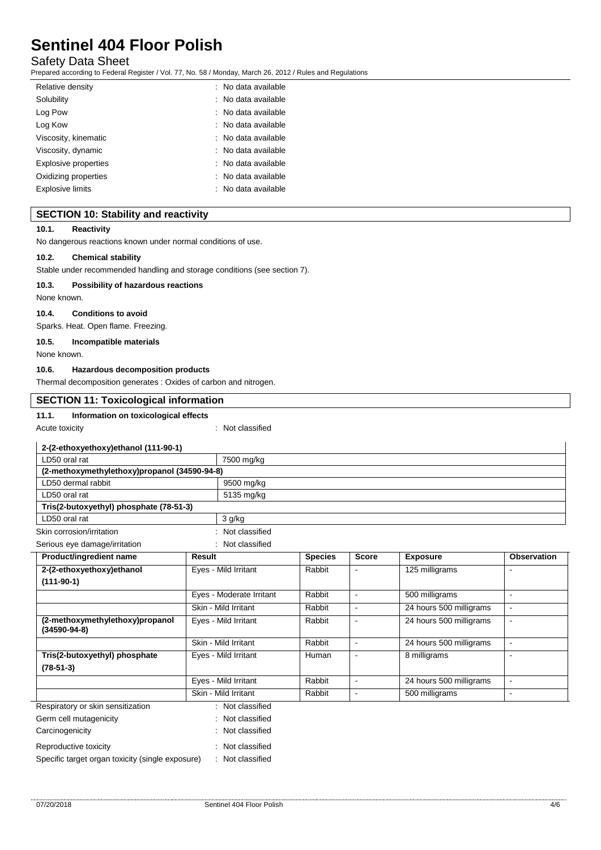## Safety Data Sheet

Prepared according to Federal Register / Vol. 77, No. 58 / Monday, March 26, 2012 / Rules and Regulations

| Relative density        | : No data available            |
|-------------------------|--------------------------------|
| Solubility              | $\therefore$ No data available |
| Log Pow                 | $\therefore$ No data available |
| Log Kow                 | $\therefore$ No data available |
| Viscosity, kinematic    | $\therefore$ No data available |
| Viscosity, dynamic      | : No data available            |
| Explosive properties    | $\therefore$ No data available |
| Oxidizing properties    | $\therefore$ No data available |
| <b>Explosive limits</b> | $\therefore$ No data available |

## **SECTION 10: Stability and reactivity**

## **10.1. Reactivity**

No dangerous reactions known under normal conditions of use.

#### **10.2. Chemical stability**

Stable under recommended handling and storage conditions (see section 7).

#### **10.3. Possibility of hazardous reactions**

None known.

### **10.4. Conditions to avoid**

Sparks. Heat. Open flame. Freezing.

## **10.5. Incompatible materials**

None known.

## **10.6. Hazardous decomposition products**

Thermal decomposition generates : Oxides of carbon and nitrogen.

| <b>SECTION 11: Toxicological information</b>      |                          |                |                |                         |                    |  |  |
|---------------------------------------------------|--------------------------|----------------|----------------|-------------------------|--------------------|--|--|
| 11.1.<br>Information on toxicological effects     |                          |                |                |                         |                    |  |  |
| Acute toxicity                                    | : Not classified         |                |                |                         |                    |  |  |
| 2-(2-ethoxyethoxy)ethanol (111-90-1)              |                          |                |                |                         |                    |  |  |
| LD50 oral rat                                     | 7500 mg/kg               |                |                |                         |                    |  |  |
| (2-methoxymethylethoxy)propanol (34590-94-8)      |                          |                |                |                         |                    |  |  |
| LD50 dermal rabbit                                | 9500 mg/kg               |                |                |                         |                    |  |  |
| LD50 oral rat                                     | 5135 mg/kg               |                |                |                         |                    |  |  |
| Tris(2-butoxyethyl) phosphate (78-51-3)           |                          |                |                |                         |                    |  |  |
| LD50 oral rat                                     | $3$ g/kg                 |                |                |                         |                    |  |  |
| Skin corrosion/irritation                         | Not classified           |                |                |                         |                    |  |  |
| Serious eye damage/irritation                     | Not classified           |                |                |                         |                    |  |  |
| Product/ingredient name                           | Result                   | <b>Species</b> | <b>Score</b>   | <b>Exposure</b>         | <b>Observation</b> |  |  |
| 2-(2-ethoxyethoxy)ethanol                         | Eyes - Mild Irritant     | Rabbit         |                | 125 milligrams          |                    |  |  |
| $(111-90-1)$                                      |                          |                |                |                         |                    |  |  |
|                                                   | Eyes - Moderate Irritant | Rabbit         | $\blacksquare$ | 500 milligrams          | $\sim$             |  |  |
|                                                   | Skin - Mild Irritant     | Rabbit         | $\blacksquare$ | 24 hours 500 milligrams | $\sim$             |  |  |
| (2-methoxymethylethoxy)propanol<br>$(34590-94-8)$ | Eyes - Mild Irritant     | Rabbit         | $\mathbf{r}$   | 24 hours 500 milligrams | $\blacksquare$     |  |  |
|                                                   | Skin - Mild Irritant     |                |                | 24 hours 500 milligrams | $\omega$           |  |  |
| Tris(2-butoxyethyl) phosphate<br>$(78-51-3)$      | Eyes - Mild Irritant     | Human          |                | 8 milligrams            |                    |  |  |
|                                                   | Eyes - Mild Irritant     | Rabbit         | ä,             | 24 hours 500 milligrams | $\sim$             |  |  |
|                                                   | Skin - Mild Irritant     | Rabbit         | $\blacksquare$ | 500 milligrams          | $\blacksquare$     |  |  |
| Respiratory or skin sensitization                 | : Not classified         |                |                |                         |                    |  |  |
| Germ cell mutagenicity                            | Not classified           |                |                |                         |                    |  |  |
| Carcinogenicity                                   | Not classified           |                |                |                         |                    |  |  |
| Reproductive toxicity                             | Not classified           |                |                |                         |                    |  |  |
| Specific target organ toxicity (single exposure)  | Not classified           |                |                |                         |                    |  |  |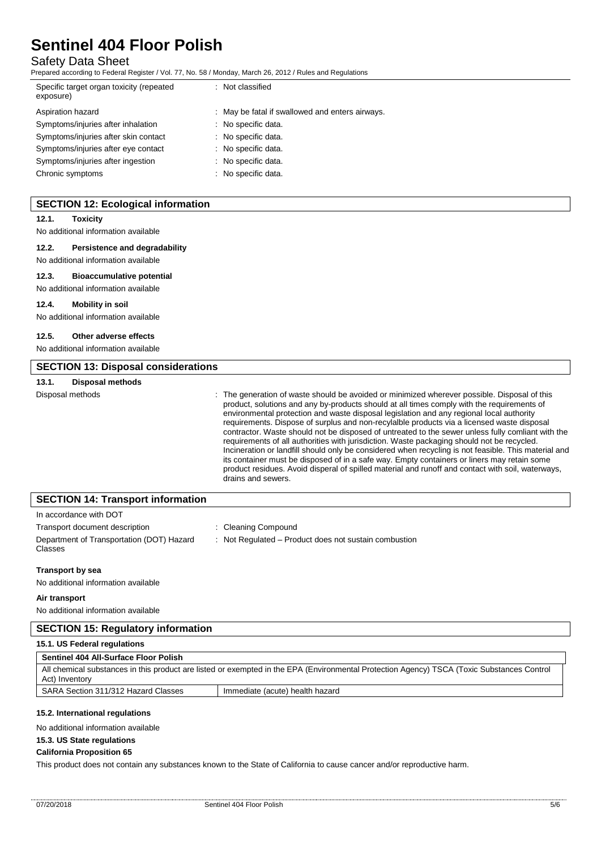## Safety Data Sheet

Prepared according to Federal Register / Vol. 77, No. 58 / Monday, March 26, 2012 / Rules and Regulations

| Specific target organ toxicity (repeated<br>exposure) | : Not classified                                |
|-------------------------------------------------------|-------------------------------------------------|
| Aspiration hazard                                     | : May be fatal if swallowed and enters airways. |
| Symptoms/injuries after inhalation                    | : No specific data.                             |
| Symptoms/injuries after skin contact                  | : No specific data.                             |
| Symptoms/injuries after eye contact                   | : No specific data.                             |
| Symptoms/injuries after ingestion                     | : No specific data.                             |
| Chronic symptoms                                      | : No specific data.                             |

## **SECTION 12: Ecological information**

#### **12.1. Toxicity**

No additional information available

## **12.2. Persistence and degradability**

No additional information available **12.3. Bioaccumulative potential**

No additional information available

#### **12.4. Mobility in soil**

No additional information available

#### **12.5. Other adverse effects**

No additional information available

| <b>SECTION 13: Disposal considerations</b> |                         |                                                                                                                                                                                                                                                                                                                                                                                                                                                                                                                                                                                                                                                                                                                                                                                                                                                                                                                           |
|--------------------------------------------|-------------------------|---------------------------------------------------------------------------------------------------------------------------------------------------------------------------------------------------------------------------------------------------------------------------------------------------------------------------------------------------------------------------------------------------------------------------------------------------------------------------------------------------------------------------------------------------------------------------------------------------------------------------------------------------------------------------------------------------------------------------------------------------------------------------------------------------------------------------------------------------------------------------------------------------------------------------|
| 13.1.                                      | <b>Disposal methods</b> |                                                                                                                                                                                                                                                                                                                                                                                                                                                                                                                                                                                                                                                                                                                                                                                                                                                                                                                           |
| Disposal methods                           |                         | : The generation of waste should be avoided or minimized wherever possible. Disposal of this<br>product, solutions and any by-products should at all times comply with the requirements of<br>environmental protection and waste disposal legislation and any regional local authority<br>requirements. Dispose of surplus and non-recylalble products via a licensed waste disposal<br>contractor. Waste should not be disposed of untreated to the sewer unless fully comliant with the<br>requirements of all authorities with jurisdiction. Waste packaging should not be recycled.<br>Incineration or landfill should only be considered when recycling is not feasible. This material and<br>its container must be disposed of in a safe way. Empty containers or liners may retain some<br>product residues. Avoid disperal of spilled material and runoff and contact with soil, waterways,<br>drains and sewers. |

## **SECTION 14: Transport information**

| In accordance with DOT                                      |                                                       |
|-------------------------------------------------------------|-------------------------------------------------------|
| Transport document description                              | : Cleaning Compound                                   |
| Department of Transportation (DOT) Hazard<br><b>Classes</b> | : Not Regulated – Product does not sustain combustion |

#### **Transport by sea**

No additional information available

## **Air transport**

No additional information available

## **SECTION 15: Regulatory information**

### **15.1. US Federal regulations**

### **Sentinel 404 All-Surface Floor Polish**

|                                                                        | All chemical substances in this product are listed or exempted in the EPA (Environmental Protection Agency) TSCA (Toxic Substances Control<br>Act) Inventory |  |  |
|------------------------------------------------------------------------|--------------------------------------------------------------------------------------------------------------------------------------------------------------|--|--|
| SARA Section 311/312 Hazard Classes<br>Immediate (acute) health hazard |                                                                                                                                                              |  |  |

## **15.2. International regulations**

No additional information available

#### **15.3. US State regulations**

#### **California Proposition 65**

This product does not contain any substances known to the State of California to cause cancer and/or reproductive harm.